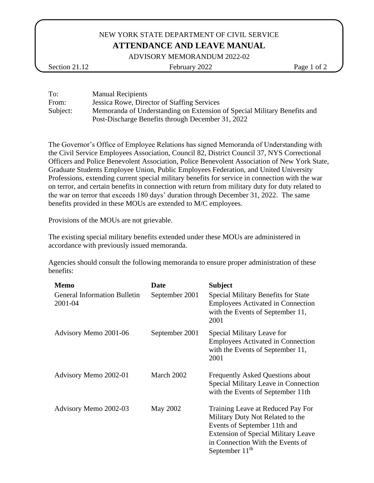## NEW YORK STATE DEPARTMENT OF CIVIL SERVICE **ATTENDANCE AND LEAVE MANUAL**

ADVISORY MEMORANDUM 2022-02

Section 21.12 February 2022 Page 1 of 2

To: Manual Recipients From: Jessica Rowe, Director of Staffing Services Subject: Memoranda of Understanding on Extension of Special Military Benefits and Post-Discharge Benefits through December 31, 2022

The Governor's Office of Employee Relations has signed Memoranda of Understanding with the Civil Service Employees Association, Council 82, District Council 37, NYS Correctional Officers and Police Benevolent Association, Police Benevolent Association of New York State, Graduate Students Employee Union, Public Employees Federation, and United University Professions, extending current special military benefits for service in connection with the war on terror, and certain benefits in connection with return from military duty for duty related to the war on terror that exceeds 180 days' duration through December 31, 2022. The same benefits provided in these MOUs are extended to M/C employees.

Provisions of the MOUs are not grievable.

The existing special military benefits extended under these MOUs are administered in accordance with previously issued memoranda.

Agencies should consult the following memoranda to ensure proper administration of these benefits:

| Memo                                           | Date           | <b>Subject</b>                                                                                                                                                                                              |
|------------------------------------------------|----------------|-------------------------------------------------------------------------------------------------------------------------------------------------------------------------------------------------------------|
| <b>General Information Bulletin</b><br>2001-04 | September 2001 | <b>Special Military Benefits for State</b><br><b>Employees Activated in Connection</b><br>with the Events of September 11,<br>2001                                                                          |
| Advisory Memo 2001-06                          | September 2001 | Special Military Leave for<br><b>Employees Activated in Connection</b><br>with the Events of September 11,<br>2001                                                                                          |
| Advisory Memo 2002-01                          | March 2002     | <b>Frequently Asked Questions about</b><br>Special Military Leave in Connection<br>with the Events of September 11th                                                                                        |
| Advisory Memo 2002-03                          | May 2002       | Training Leave at Reduced Pay For<br>Military Duty Not Related to the<br>Events of September 11th and<br><b>Extension of Special Military Leave</b><br>in Connection With the Events of<br>September $11th$ |